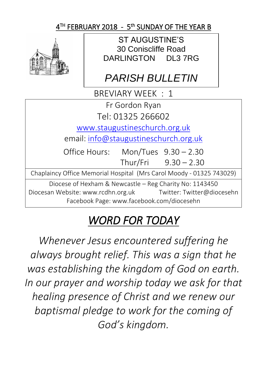## $4^\textsf{TH}$  FEBRUARY 2018 - 5<sup>th</sup> SUNDAY OF THE YEAR B



ST AUGUSTINE'S 30 Coniscliffe Road DARLINGTON DL3 7RG

## *PARISH BULLETIN*

BREVIARY WEEK : 1

Fr Gordon Ryan

Tel: 01325 266602

[www.staugustineschurch.org.uk](http://www.staugustineschurch.org.uk/)

email: [info@staugustineschurch.org.uk](mailto:info@staugustineschurch.org.uk)

Office Hours: Mon/Tues 9.30 – 2.30 Thur/Fri 9.30 – 2.30

Chaplaincy Office Memorial Hospital (Mrs Carol Moody - 01325 743029)

Diocese of Hexham & Newcastle – Reg Charity No: 1143450 Diocesan Website: www.rcdhn.org.uk Twitter: Twitter@diocesehn Facebook Page: www.facebook.com/diocesehn

# *WORD FOR TODAY*

*Whenever Jesus encountered suffering he always brought relief. This was a sign that he was establishing the kingdom of God on earth. In our prayer and worship today we ask for that healing presence of Christ and we renew our baptismal pledge to work for the coming of God's kingdom.*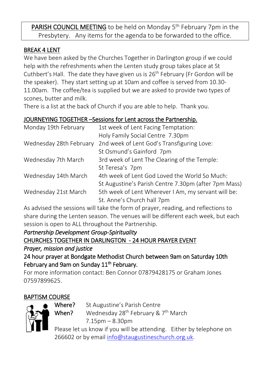PARISH COUNCIL MEETING to be held on Monday 5<sup>th</sup> February 7pm in the Presbytery. Any items for the agenda to be forwarded to the office.

#### BREAK 4 LENT

We have been asked by the Churches Together in Darlington group if we could help with the refreshments when the Lenten study group takes place at St Cuthbert's Hall. The date they have given us is  $26<sup>th</sup>$  February (Fr Gordon will be the speaker). They start setting up at 10am and coffee is served from 10.30- 11.00am. The coffee/tea is supplied but we are asked to provide two types of scones, butter and milk.

There is a list at the back of Church if you are able to help. Thank you.

#### JOURNEYING TOGETHER –Sessions for Lent across the Partnership.

| Monday 19th February    | 1st week of Lent Facing Temptation:                  |  |  |
|-------------------------|------------------------------------------------------|--|--|
|                         | Holy Family Social Centre 7.30pm                     |  |  |
| Wednesday 28th February | 2nd week of Lent God's Transfiguring Love:           |  |  |
|                         | St Osmund's Gainford 7pm                             |  |  |
| Wednesday 7th March     | 3rd week of Lent The Clearing of the Temple:         |  |  |
|                         | St Teresa's 7pm                                      |  |  |
| Wednesday 14th March    | 4th week of Lent God Loved the World So Much:        |  |  |
|                         | St Augustine's Parish Centre 7.30pm (after 7pm Mass) |  |  |
| Wednesday 21st March    | 5th week of Lent Wherever I Am, my servant will be:  |  |  |
|                         | St. Anne's Church hall 7pm                           |  |  |

As advised the sessions will take the form of prayer, reading, and reflections to share during the Lenten season. The venues will be different each week, but each session is open to ALL throughout the Partnership.

*Partnership Development Group-Spirituality*  CHURCHES TOGETHER IN DARLINGTON - 24 HOUR PRAYER EVENT *Prayer, mission and justice* 

24 hour prayer at Bondgate Methodist Church between 9am on Saturday 10th February and 9am on Sunday 11<sup>th</sup> February.

For more information contact: Ben Connor 07879428175 or Graham Jones 07597899625.

## BAPTISM COURSE



Where? St Augustine's Parish Centre

When? Wednesday 28<sup>th</sup> February &  $7<sup>th</sup>$  March 7.15pm – 8.30pm

Please let us know if you will be attending. Either by telephone on 266602 or by email [info@staugustineschurch.org.uk.](mailto:info@staugustineschurch.org.uk)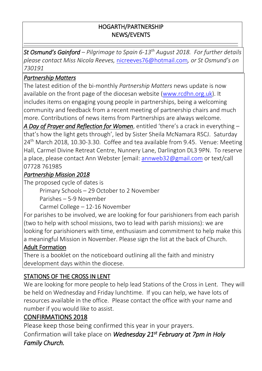#### HOGARTH/PARTNERSHIP NEWS/EVENTS

*St Osmund's Gainford – Pilgrimage to Spain 6-13th August 2018. For further details please contact Miss Nicola Reeves,* [nicreeves76@hotmail.com](mailto:nicreeves76@hotmail.com)*, or St Osmund's on 730191*

#### *Partnership Matters*

The latest edition of the bi-monthly *Partnership Matters* news update is now available on the front page of the diocesan website [\(www.rcdhn.org.uk\)](http://www.rcdhn.org.uk/). It includes items on engaging young people in partnerships, being a welcoming community and feedback from a recent meeting of partnership chairs and much more. Contributions of news items from Partnerships are always welcome.

*A Day of Prayer and Reflection for Women*, entitled 'there's a crack in everything – that's how the light gets through', led by Sister Sheila McNamara RSCJ. Saturday  $24<sup>th</sup>$  March 2018, 10.30-3.30. Coffee and tea available from 9.45. Venue: Meeting Hall, Carmel Divine Retreat Centre, Nunnery Lane, Darlington DL3 9PN. To reserve a place, please contact Ann Webster [email: [annweb32@gmail.com](mailto:annweb32@gmail.com) or text/call 07728 761985

#### *Partnership Mission 2018*

The proposed cycle of dates is

Primary Schools – 29 October to 2 November

Parishes – 5-9 November

Carmel College – 12-16 November

For parishes to be involved, we are looking for four parishioners from each parish (two to help with school missions, two to lead with parish missions): we are looking for parishioners with time, enthusiasm and commitment to help make this a meaningful Mission in November. Please sign the list at the back of Church.

## Adult Formation

There is a booklet on the noticeboard outlining all the faith and ministry development days within the diocese.

## STATIONS OF THE CROSS IN LENT

We are looking for more people to help lead Stations of the Cross in Lent. They will be held on Wednesday and Friday lunchtime. If you can help, we have lots of resources available in the office. Please contact the office with your name and number if you would like to assist.

## CONFIRMATIONS 2018

Please keep those being confirmed this year in your prayers. Confirmation will take place on *Wednesday 21st February at 7pm in Holy Family Church.*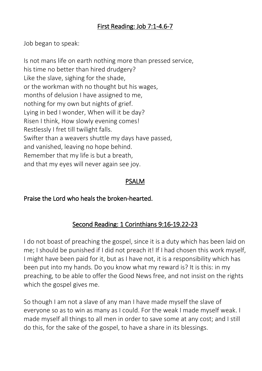## First Reading: Job 7:1-4.6-7

Job began to speak:

Is not mans life on earth nothing more than pressed service, his time no better than hired drudgery? Like the slave, sighing for the shade, or the workman with no thought but his wages, months of delusion I have assigned to me, nothing for my own but nights of grief. Lying in bed I wonder, When will it be day? Risen I think, How slowly evening comes! Restlessly I fret till twilight falls. Swifter than a weavers shuttle my days have passed, and vanished, leaving no hope behind. Remember that my life is but a breath, and that my eyes will never again see joy.

#### PSALM

## Praise the Lord who heals the broken-hearted.

## Second Reading: 1 Corinthians 9:16-19.22-23

I do not boast of preaching the gospel, since it is a duty which has been laid on me; I should be punished if I did not preach it! If I had chosen this work myself, I might have been paid for it, but as I have not, it is a responsibility which has been put into my hands. Do you know what my reward is? It is this: in my preaching, to be able to offer the Good News free, and not insist on the rights which the gospel gives me.

So though I am not a slave of any man I have made myself the slave of everyone so as to win as many as I could. For the weak I made myself weak. I made myself all things to all men in order to save some at any cost; and I still do this, for the sake of the gospel, to have a share in its blessings.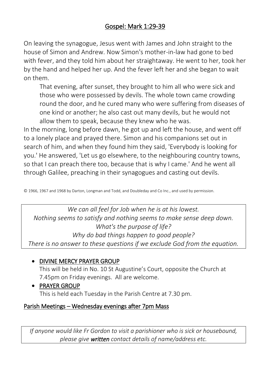## Gospel: Mark 1:29-39

On leaving the synagogue, Jesus went with James and John straight to the house of Simon and Andrew. Now Simon's mother-in-law had gone to bed with fever, and they told him about her straightaway. He went to her, took her by the hand and helped her up. And the fever left her and she began to wait on them.

That evening, after sunset, they brought to him all who were sick and those who were possessed by devils. The whole town came crowding round the door, and he cured many who were suffering from diseases of one kind or another; he also cast out many devils, but he would not allow them to speak, because they knew who he was.

In the morning, long before dawn, he got up and left the house, and went off to a lonely place and prayed there. Simon and his companions set out in search of him, and when they found him they said, 'Everybody is looking for you.' He answered, 'Let us go elsewhere, to the neighbouring country towns, so that I can preach there too, because that is why I came.' And he went all through Galilee, preaching in their synagogues and casting out devils.

© 1966, 1967 and 1968 by Darton, Longman and Todd, and Doubleday and Co Inc., and used by permission.

*We can all feel for Job when he is at his lowest. Nothing seems to satisfy and nothing seems to make sense deep down. What's the purpose of life? Why do bad things happen to good people? There is no answer to these questions if we exclude God from the equation.*

#### • DIVINE MERCY PRAYER GROUP

This will be held in No. 10 St Augustine's Court, opposite the Church at 7.45pm on Friday evenings. All are welcome.

• PRAYER GROUP

This is held each Tuesday in the Parish Centre at 7.30 pm.

#### Parish Meetings – Wednesday evenings after 7pm Mass

*If anyone would like Fr Gordon to visit a parishioner who is sick or housebound, please give written contact details of name/address etc.*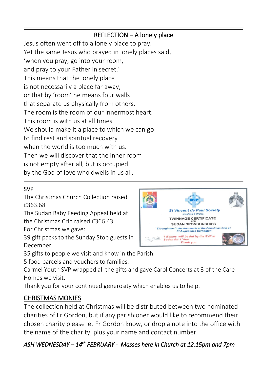## REFLECTION – A lonely place

Jesus often went off to a lonely place to pray. Yet the same Jesus who prayed in lonely places said, 'when you pray, go into your room, and pray to your Father in secret.' This means that the lonely place is not necessarily a place far away, or that by 'room' he means four walls that separate us physically from others. The room is the room of our innermost heart. This room is with us at all times. We should make it a place to which we can go to find rest and spiritual recovery when the world is too much with us. Then we will discover that the inner room is not empty after all, but is occupied by the God of love who dwells in us all.

## SVP

The Christmas Church Collection raised £363.68

The Sudan Baby Feeding Appeal held at the Christmas Crib raised £366.43.

For Christmas we gave:

39 gift packs to the Sunday Stop guests in December.

35 gifts to people we visit and know in the Parish.

5 food parcels and vouchers to families.

Carmel Youth SVP wrapped all the gifts and gave Carol Concerts at 3 of the Care Homes we visit.

Thank you for your continued generosity which enables us to help.

## CHRISTMAS MONIES

The collection held at Christmas will be distributed between two nominated charities of Fr Gordon, but if any parishioner would like to recommend their chosen charity please let Fr Gordon know, or drop a note into the office with the name of the charity, plus your name and contact number.

## *ASH WEDNESDAY – 14th FEBRUARY - Masses here in Church at 12.15pm and 7pm*



 $\ddot{\phantom{0}}$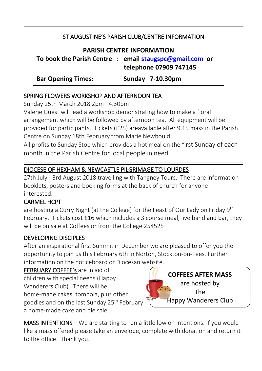#### ST AUGUSTINE'S PARISH CLUB/CENTRE INFORMATION

| <b>PARISH CENTRE INFORMATION</b> |  |                                                         |  |  |  |  |
|----------------------------------|--|---------------------------------------------------------|--|--|--|--|
|                                  |  | To book the Parish Centre : email staugspc@gmail.com or |  |  |  |  |
|                                  |  | telephone 07909 747145                                  |  |  |  |  |
| <b>Bar Opening Times:</b>        |  | Sunday 7-10.30pm                                        |  |  |  |  |

#### SPRING FLOWERS WORKSHOP AND AFTERNOON TEA

Sunday 25th March 2018 2pm– 4.30pm

Valerie Guest will lead a workshop demonstrating how to make a floral arrangement which will be followed by afternoon tea. All equipment will be provided for participants. Tickets (£25) areavailable after 9.15 mass in the Parish Centre on Sunday 18th February from Marie Newbould.

All profits to Sunday Stop which provides a hot meal on the first Sunday of each month in the Parish Centre for local people in need.

## DIOCESE OF HEXHAM & NEWCASTLE PILGRIMAGE TO LOURDES

27th July - 3rd August 2018 travelling with Tangney Tours. There are information booklets, posters and booking forms at the back of church for anyone interested.

#### CARMEL HCPT

are hosting a Curry Night (at the College) for the Feast of Our Lady on Friday 9<sup>th</sup> February. Tickets cost £16 which includes a 3 course meal, live band and bar, they will be on sale at Coffees or from the College 254525

#### DEVELOPING DISCIPLES

After an inspirational first Summit in December we are pleased to offer you the opportunity to join us this February 6th in Norton, Stockton-on-Tees. Further information on the noticeboard or Diocesan website.

FEBRUARY COFFEE's are in aid of children with special needs (Happy Wanderers Club). There will be home-made cakes, tombola, plus other goodies and on the last Sunday 25<sup>th</sup> February a home-made cake and pie sale.



 $\ddot{\phantom{0}}$ 

MASS INTENTIONS – We are starting to run a little low on intentions. If you would like a mass offered please take an envelope, complete with donation and return it to the office. Thank you.